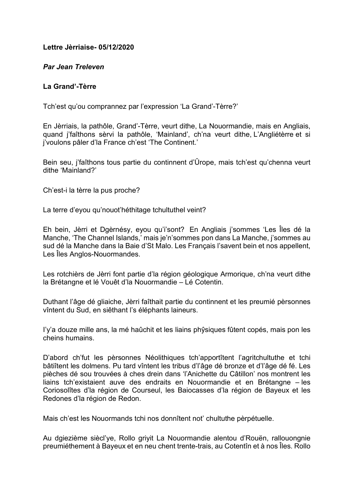# **Lettre Jèrriaise- 05/12/2020**

# *Par Jean Treleven*

# **La Grand'-Tèrre**

Tch'est qu'ou comprannez par l'expression 'La Grand'-Tèrre?'

En Jèrriais, la pathôle, Grand'-Tèrre, veurt dithe, La Nouormandie, mais en Angliais, quand j'faîthons sèrvi la pathôle, 'Mainland', ch'na veurt dithe, L'Angliétèrre et si j'voulons pâler d'la France ch'est 'The Continent.'

Bein seu, j'faîthons tous partie du continnent d'Ûrope, mais tch'est qu'chenna veurt dithe 'Mainland?'

Ch'est-i la tèrre la pus proche?

La terre d'eyou qu'nouot'héthitage tchultuthel veint?

Eh bein, Jèrri et Dgèrnésy, eyou qu'i'sont? En Angliais j'sommes 'Les Îles dé la Manche, 'The Channel Islands,' mais je'n'sommes pon dans La Manche, j'sommes au sud dé la Manche dans la Baie d'St Malo. Les Français l'savent bein et nos appellent, Les Îles Anglos-Nouormandes.

Les rotchièrs de Jèrri font partie d'la région géologique Armorique, ch'na veurt dithe la Brétangne et lé Vouêt d'la Nouormandie – Lé Cotentin.

Duthant l'âge dé gliaiche, Jèrri faîthait partie du continnent et les preumié pèrsonnes vîntent du Sud, en siêthant l's éléphants laineurs.

I'y'a douze mille ans, la mé haûchit et les liains phŷsiques fûtent copés, mais pon les cheins humains.

D'abord ch'fut les pèrsonnes Néolithiques tch'apportîtent l'agritchultuthe et tchi bâtiîtent les dolmens. Pu tard vîntent les tribus d'l'âge dé bronze et d'l'âge dé fé. Les pièches dé sou trouvées à ches drein dans 'l'Anichette du Câtillon' nos montrent les liains tch'existaient auve des endraits en Nouormandie et en Brétangne – les Coriosolîtes d'la région de Courseul, les Baiocasses d'la région de Bayeux et les Redones d'la région de Redon.

Mais ch'est les Nouormands tchi nos donnîtent not' chultuthe pèrpétuelle.

Au dgiezième siècl'ye, Rollo griyit La Nouormandie alentou d'Rouën, rallouongnie preumiéthement à Bayeux et en neu chent trente-trais, au Cotentîn et à nos Îles. Rollo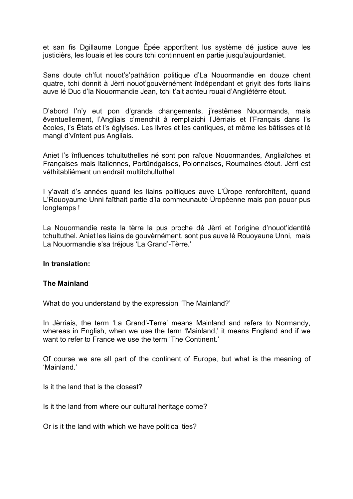et san fis Dgillaume Longue Êpée apportîtent lus système dé justice auve les justicièrs, les louais et les cours tchi continnuent en partie jusqu'aujourdaniet.

Sans doute ch'fut nouot's'pathâtion politique d'La Nouormandie en douze chent quatre, tchi donnit à Jèrri nouot'gouvèrnément îndépendant et griyit des forts liains auve lé Duc d'la Nouormandie Jean, tchi t'ait achteu rouai d'Angliétèrre étout.

D'abord I'n'y eut pon d'grands changements, j'restêmes Nouormands, mais êventuellement, l'Angliais c'menchit à rempliaichi l'Jèrriais et l'Français dans l's êcoles, l's Êtats et l's églyises. Les livres et les cantiques, et même les bâtisses et lé mangi d'vîntent pus Angliais.

Aniet l's înfluences tchultuthelles né sont pon raîque Nouormandes, Angliaîches et Françaises mais Italiennes, Portûndgaises, Polonnaises, Roumaines étout. Jèrri est véthitabliément un endrait multitchultuthel.

I y'avait d's années quand les liains politiques auve L'Ûrope renforchîtent, quand L'Rouoyaume Unni faîthait partie d'la commeunauté Ûropéenne mais pon pouor pus longtemps !

La Nouormandie reste la tèrre la pus proche dé Jèrri et l'origine d'nouot'identité tchultuthel. Aniet les liains de gouvèrnément, sont pus auve lé Rouoyaune Unni, mais La Nouormandie s'sa tréjous 'La Grand'-Tèrre.'

#### **In translation:**

#### **The Mainland**

What do you understand by the expression 'The Mainland?'

In Jèrriais, the term 'La Grand'-Terre' means Mainland and refers to Normandy, whereas in English, when we use the term 'Mainland,' it means England and if we want to refer to France we use the term 'The Continent.'

Of course we are all part of the continent of Europe, but what is the meaning of 'Mainland.'

Is it the land that is the closest?

Is it the land from where our cultural heritage come?

Or is it the land with which we have political ties?